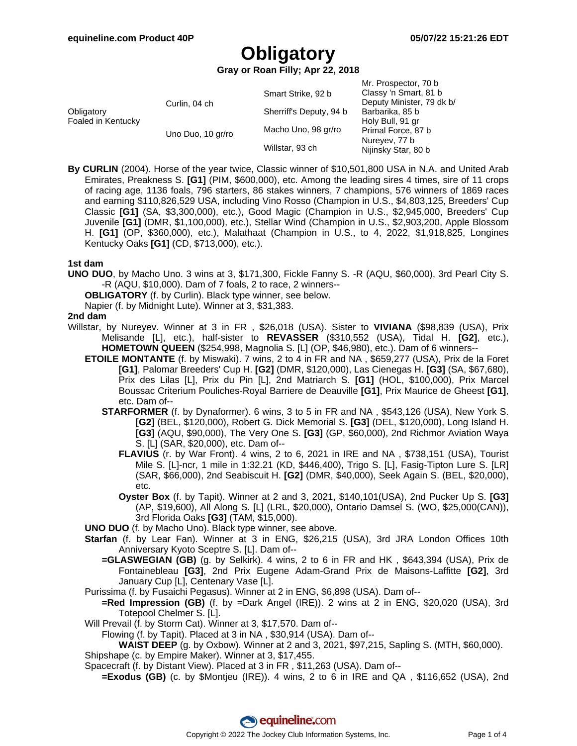**Gray or Roan Filly; Apr 22, 2018**

|                                  |                   |                         | Mr. Prospector, 70 b      |
|----------------------------------|-------------------|-------------------------|---------------------------|
| Obligatory<br>Foaled in Kentucky | Curlin, 04 ch     | Smart Strike, 92 b      | Classy 'n Smart, 81 b     |
|                                  |                   |                         | Deputy Minister, 79 dk b/ |
|                                  |                   | Sherriff's Deputy, 94 b | Barbarika, 85 b           |
|                                  |                   |                         | Holy Bull, 91 gr          |
|                                  | Uno Duo, 10 gr/ro | Macho Uno, 98 gr/ro     | Primal Force, 87 b        |
|                                  |                   |                         | Nureyev, 77 b             |
|                                  |                   | Willstar, 93 ch         | Nijinsky Star, 80 b       |

**By CURLIN** (2004). Horse of the year twice, Classic winner of \$10,501,800 USA in N.A. and United Arab Emirates, Preakness S. **[G1]** (PIM, \$600,000), etc. Among the leading sires 4 times, sire of 11 crops of racing age, 1136 foals, 796 starters, 86 stakes winners, 7 champions, 576 winners of 1869 races and earning \$110,826,529 USA, including Vino Rosso (Champion in U.S., \$4,803,125, Breeders' Cup Classic **[G1]** (SA, \$3,300,000), etc.), Good Magic (Champion in U.S., \$2,945,000, Breeders' Cup Juvenile **[G1]** (DMR, \$1,100,000), etc.), Stellar Wind (Champion in U.S., \$2,903,200, Apple Blossom H. **[G1]** (OP, \$360,000), etc.), Malathaat (Champion in U.S., to 4, 2022, \$1,918,825, Longines Kentucky Oaks **[G1]** (CD, \$713,000), etc.).

### **1st dam**

**UNO DUO**, by Macho Uno. 3 wins at 3, \$171,300, Fickle Fanny S. -R (AQU, \$60,000), 3rd Pearl City S. -R (AQU, \$10,000). Dam of 7 foals, 2 to race, 2 winners--

**OBLIGATORY** (f. by Curlin). Black type winner, see below.

Napier (f. by Midnight Lute). Winner at 3, \$31,383.

#### **2nd dam**

- Willstar, by Nureyev. Winner at 3 in FR , \$26,018 (USA). Sister to **VIVIANA** (\$98,839 (USA), Prix Melisande [L], etc.), half-sister to **REVASSER** (\$310,552 (USA), Tidal H. **[G2]**, etc.), **HOMETOWN QUEEN** (\$254,998, Magnolia S. [L] (OP, \$46,980), etc.). Dam of 6 winners--
	- **ETOILE MONTANTE** (f. by Miswaki). 7 wins, 2 to 4 in FR and NA , \$659,277 (USA), Prix de la Foret **[G1]**, Palomar Breeders' Cup H. **[G2]** (DMR, \$120,000), Las Cienegas H. **[G3]** (SA, \$67,680), Prix des Lilas [L], Prix du Pin [L], 2nd Matriarch S. **[G1]** (HOL, \$100,000), Prix Marcel Boussac Criterium Pouliches-Royal Barriere de Deauville **[G1]**, Prix Maurice de Gheest **[G1]**, etc. Dam of--
		- **STARFORMER** (f. by Dynaformer). 6 wins, 3 to 5 in FR and NA , \$543,126 (USA), New York S. **[G2]** (BEL, \$120,000), Robert G. Dick Memorial S. **[G3]** (DEL, \$120,000), Long Island H. **[G3]** (AQU, \$90,000), The Very One S. **[G3]** (GP, \$60,000), 2nd Richmor Aviation Waya S. [L] (SAR, \$20,000), etc. Dam of--
			- **FLAVIUS** (r. by War Front). 4 wins, 2 to 6, 2021 in IRE and NA , \$738,151 (USA), Tourist Mile S. [L]-ncr, 1 mile in 1:32.21 (KD, \$446,400), Trigo S. [L], Fasig-Tipton Lure S. [LR] (SAR, \$66,000), 2nd Seabiscuit H. **[G2]** (DMR, \$40,000), Seek Again S. (BEL, \$20,000), etc.
			- **Oyster Box** (f. by Tapit). Winner at 2 and 3, 2021, \$140,101(USA), 2nd Pucker Up S. **[G3]** (AP, \$19,600), All Along S. [L] (LRL, \$20,000), Ontario Damsel S. (WO, \$25,000(CAN)), 3rd Florida Oaks **[G3]** (TAM, \$15,000).

**UNO DUO** (f. by Macho Uno). Black type winner, see above.

- **Starfan** (f. by Lear Fan). Winner at 3 in ENG, \$26,215 (USA), 3rd JRA London Offices 10th Anniversary Kyoto Sceptre S. [L]. Dam of--
	- **=GLASWEGIAN (GB)** (g. by Selkirk). 4 wins, 2 to 6 in FR and HK , \$643,394 (USA), Prix de Fontainebleau **[G3]**, 2nd Prix Eugene Adam-Grand Prix de Maisons-Laffitte **[G2]**, 3rd January Cup [L], Centenary Vase [L].
- Purissima (f. by Fusaichi Pegasus). Winner at 2 in ENG, \$6,898 (USA). Dam of--
	- **=Red Impression (GB)** (f. by =Dark Angel (IRE)). 2 wins at 2 in ENG, \$20,020 (USA), 3rd Totepool Chelmer S. [L].
- Will Prevail (f. by Storm Cat). Winner at 3, \$17,570. Dam of--
- Flowing (f. by Tapit). Placed at 3 in NA , \$30,914 (USA). Dam of--

**WAIST DEEP** (g. by Oxbow). Winner at 2 and 3, 2021, \$97,215, Sapling S. (MTH, \$60,000). Shipshape (c. by Empire Maker). Winner at 3, \$17,455.

- Spacecraft (f. by Distant View). Placed at 3 in FR , \$11,263 (USA). Dam of--
	- **=Exodus (GB)** (c. by \$Montjeu (IRE)). 4 wins, 2 to 6 in IRE and QA , \$116,652 (USA), 2nd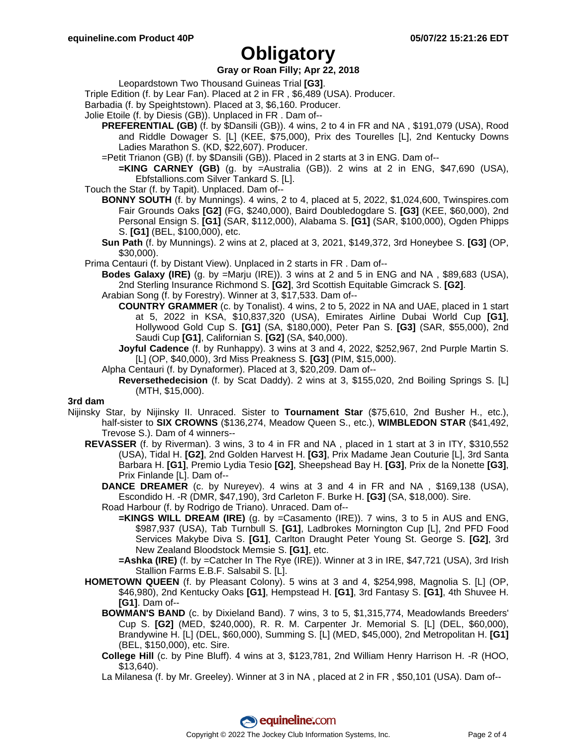## **Gray or Roan Filly; Apr 22, 2018**

Leopardstown Two Thousand Guineas Trial **[G3]**.

- Triple Edition (f. by Lear Fan). Placed at 2 in FR , \$6,489 (USA). Producer.
- Barbadia (f. by Speightstown). Placed at 3, \$6,160. Producer.
- Jolie Etoile (f. by Diesis (GB)). Unplaced in FR . Dam of--
	- **PREFERENTIAL (GB)** (f. by \$Dansili (GB)). 4 wins, 2 to 4 in FR and NA , \$191,079 (USA), Rood and Riddle Dowager S. [L] (KEE, \$75,000), Prix des Tourelles [L], 2nd Kentucky Downs Ladies Marathon S. (KD, \$22,607). Producer.
	- =Petit Trianon (GB) (f. by \$Dansili (GB)). Placed in 2 starts at 3 in ENG. Dam of--
	- **=KING CARNEY (GB)** (g. by =Australia (GB)). 2 wins at 2 in ENG, \$47,690 (USA), Ebfstallions.com Silver Tankard S. [L].
- Touch the Star (f. by Tapit). Unplaced. Dam of--
	- **BONNY SOUTH** (f. by Munnings). 4 wins, 2 to 4, placed at 5, 2022, \$1,024,600, Twinspires.com Fair Grounds Oaks **[G2]** (FG, \$240,000), Baird Doubledogdare S. **[G3]** (KEE, \$60,000), 2nd Personal Ensign S. **[G1]** (SAR, \$112,000), Alabama S. **[G1]** (SAR, \$100,000), Ogden Phipps S. **[G1]** (BEL, \$100,000), etc.
	- **Sun Path** (f. by Munnings). 2 wins at 2, placed at 3, 2021, \$149,372, 3rd Honeybee S. **[G3]** (OP, \$30,000).
- Prima Centauri (f. by Distant View). Unplaced in 2 starts in FR . Dam of--
	- **Bodes Galaxy (IRE)** (g. by =Marju (IRE)). 3 wins at 2 and 5 in ENG and NA , \$89,683 (USA), 2nd Sterling Insurance Richmond S. **[G2]**, 3rd Scottish Equitable Gimcrack S. **[G2]**.
	- Arabian Song (f. by Forestry). Winner at 3, \$17,533. Dam of--
		- **COUNTRY GRAMMER** (c. by Tonalist). 4 wins, 2 to 5, 2022 in NA and UAE, placed in 1 start at 5, 2022 in KSA, \$10,837,320 (USA), Emirates Airline Dubai World Cup **[G1]**, Hollywood Gold Cup S. **[G1]** (SA, \$180,000), Peter Pan S. **[G3]** (SAR, \$55,000), 2nd Saudi Cup **[G1]**, Californian S. **[G2]** (SA, \$40,000).
		- **Joyful Cadence** (f. by Runhappy). 3 wins at 3 and 4, 2022, \$252,967, 2nd Purple Martin S. [L] (OP, \$40,000), 3rd Miss Preakness S. **[G3]** (PIM, \$15,000).
	- Alpha Centauri (f. by Dynaformer). Placed at 3, \$20,209. Dam of--
		- **Reversethedecision** (f. by Scat Daddy). 2 wins at 3, \$155,020, 2nd Boiling Springs S. [L] (MTH, \$15,000).

#### **3rd dam**

- Nijinsky Star, by Nijinsky II. Unraced. Sister to **Tournament Star** (\$75,610, 2nd Busher H., etc.), half-sister to **SIX CROWNS** (\$136,274, Meadow Queen S., etc.), **WIMBLEDON STAR** (\$41,492, Trevose S.). Dam of 4 winners--
	- **REVASSER** (f. by Riverman). 3 wins, 3 to 4 in FR and NA , placed in 1 start at 3 in ITY, \$310,552 (USA), Tidal H. **[G2]**, 2nd Golden Harvest H. **[G3]**, Prix Madame Jean Couturie [L], 3rd Santa Barbara H. **[G1]**, Premio Lydia Tesio **[G2]**, Sheepshead Bay H. **[G3]**, Prix de la Nonette **[G3]**, Prix Finlande [L]. Dam of--
		- **DANCE DREAMER** (c. by Nureyev). 4 wins at 3 and 4 in FR and NA , \$169,138 (USA), Escondido H. -R (DMR, \$47,190), 3rd Carleton F. Burke H. **[G3]** (SA, \$18,000). Sire.
		- Road Harbour (f. by Rodrigo de Triano). Unraced. Dam of--
			- **=KINGS WILL DREAM (IRE)** (g. by =Casamento (IRE)). 7 wins, 3 to 5 in AUS and ENG, \$987,937 (USA), Tab Turnbull S. **[G1]**, Ladbrokes Mornington Cup [L], 2nd PFD Food Services Makybe Diva S. **[G1]**, Carlton Draught Peter Young St. George S. **[G2]**, 3rd New Zealand Bloodstock Memsie S. **[G1]**, etc.
			- **=Ashka (IRE)** (f. by =Catcher In The Rye (IRE)). Winner at 3 in IRE, \$47,721 (USA), 3rd Irish Stallion Farms E.B.F. Salsabil S. [L].
	- **HOMETOWN QUEEN** (f. by Pleasant Colony). 5 wins at 3 and 4, \$254,998, Magnolia S. [L] (OP, \$46,980), 2nd Kentucky Oaks **[G1]**, Hempstead H. **[G1]**, 3rd Fantasy S. **[G1]**, 4th Shuvee H. **[G1]**. Dam of--
		- **BOWMAN'S BAND** (c. by Dixieland Band). 7 wins, 3 to 5, \$1,315,774, Meadowlands Breeders' Cup S. **[G2]** (MED, \$240,000), R. R. M. Carpenter Jr. Memorial S. [L] (DEL, \$60,000), Brandywine H. [L] (DEL, \$60,000), Summing S. [L] (MED, \$45,000), 2nd Metropolitan H. **[G1]** (BEL, \$150,000), etc. Sire.
		- **College Hill** (c. by Pine Bluff). 4 wins at 3, \$123,781, 2nd William Henry Harrison H. -R (HOO, \$13,640).
		- La Milanesa (f. by Mr. Greeley). Winner at 3 in NA , placed at 2 in FR , \$50,101 (USA). Dam of--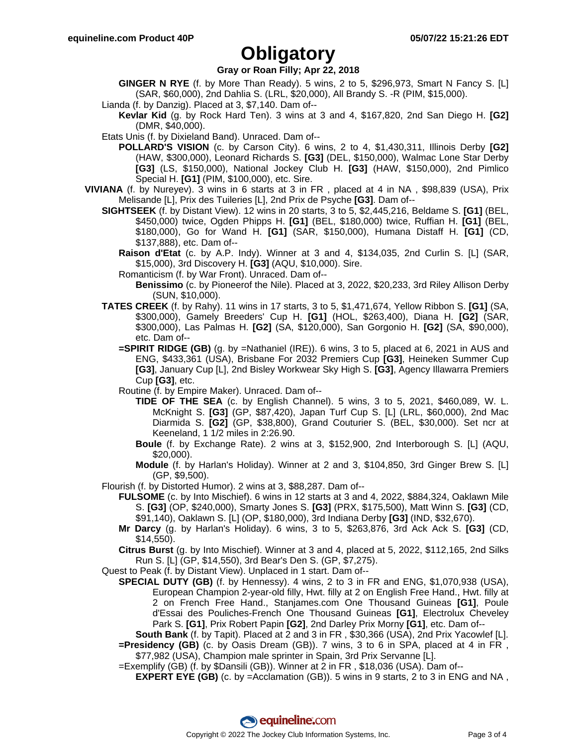## **Gray or Roan Filly; Apr 22, 2018**

- **GINGER N RYE** (f. by More Than Ready). 5 wins, 2 to 5, \$296,973, Smart N Fancy S. [L] (SAR, \$60,000), 2nd Dahlia S. (LRL, \$20,000), All Brandy S. -R (PIM, \$15,000).
- Lianda (f. by Danzig). Placed at 3, \$7,140. Dam of--
	- **Kevlar Kid** (g. by Rock Hard Ten). 3 wins at 3 and 4, \$167,820, 2nd San Diego H. **[G2]** (DMR, \$40,000).
- Etats Unis (f. by Dixieland Band). Unraced. Dam of--
	- **POLLARD'S VISION** (c. by Carson City). 6 wins, 2 to 4, \$1,430,311, Illinois Derby **[G2]** (HAW, \$300,000), Leonard Richards S. **[G3]** (DEL, \$150,000), Walmac Lone Star Derby **[G3]** (LS, \$150,000), National Jockey Club H. **[G3]** (HAW, \$150,000), 2nd Pimlico Special H. **[G1]** (PIM, \$100,000), etc. Sire.
- **VIVIANA** (f. by Nureyev). 3 wins in 6 starts at 3 in FR , placed at 4 in NA , \$98,839 (USA), Prix Melisande [L], Prix des Tuileries [L], 2nd Prix de Psyche **[G3]**. Dam of--
	- **SIGHTSEEK** (f. by Distant View). 12 wins in 20 starts, 3 to 5, \$2,445,216, Beldame S. **[G1]** (BEL, \$450,000) twice, Ogden Phipps H. **[G1]** (BEL, \$180,000) twice, Ruffian H. **[G1]** (BEL, \$180,000), Go for Wand H. **[G1]** (SAR, \$150,000), Humana Distaff H. **[G1]** (CD, \$137,888), etc. Dam of--
		- **Raison d'Etat** (c. by A.P. Indy). Winner at 3 and 4, \$134,035, 2nd Curlin S. [L] (SAR, \$15,000), 3rd Discovery H. **[G3]** (AQU, \$10,000). Sire.
		- Romanticism (f. by War Front). Unraced. Dam of--
			- **Benissimo** (c. by Pioneerof the Nile). Placed at 3, 2022, \$20,233, 3rd Riley Allison Derby (SUN, \$10,000).
	- **TATES CREEK** (f. by Rahy). 11 wins in 17 starts, 3 to 5, \$1,471,674, Yellow Ribbon S. **[G1]** (SA, \$300,000), Gamely Breeders' Cup H. **[G1]** (HOL, \$263,400), Diana H. **[G2]** (SAR, \$300,000), Las Palmas H. **[G2]** (SA, \$120,000), San Gorgonio H. **[G2]** (SA, \$90,000), etc. Dam of--
		- **=SPIRIT RIDGE (GB)** (g. by =Nathaniel (IRE)). 6 wins, 3 to 5, placed at 6, 2021 in AUS and ENG, \$433,361 (USA), Brisbane For 2032 Premiers Cup **[G3]**, Heineken Summer Cup **[G3]**, January Cup [L], 2nd Bisley Workwear Sky High S. **[G3]**, Agency Illawarra Premiers Cup **[G3]**, etc.

Routine (f. by Empire Maker). Unraced. Dam of--

- **TIDE OF THE SEA** (c. by English Channel). 5 wins, 3 to 5, 2021, \$460,089, W. L. McKnight S. **[G3]** (GP, \$87,420), Japan Turf Cup S. [L] (LRL, \$60,000), 2nd Mac Diarmida S. **[G2]** (GP, \$38,800), Grand Couturier S. (BEL, \$30,000). Set ncr at Keeneland, 1 1/2 miles in 2:26.90.
- **Boule** (f. by Exchange Rate). 2 wins at 3, \$152,900, 2nd Interborough S. [L] (AQU, \$20,000).
- **Module** (f. by Harlan's Holiday). Winner at 2 and 3, \$104,850, 3rd Ginger Brew S. [L] (GP, \$9,500).
- Flourish (f. by Distorted Humor). 2 wins at 3, \$88,287. Dam of--
	- **FULSOME** (c. by Into Mischief). 6 wins in 12 starts at 3 and 4, 2022, \$884,324, Oaklawn Mile S. **[G3]** (OP, \$240,000), Smarty Jones S. **[G3]** (PRX, \$175,500), Matt Winn S. **[G3]** (CD, \$91,140), Oaklawn S. [L] (OP, \$180,000), 3rd Indiana Derby **[G3]** (IND, \$32,670).
		- **Mr Darcy** (g. by Harlan's Holiday). 6 wins, 3 to 5, \$263,876, 3rd Ack Ack S. **[G3]** (CD, \$14,550).

**Citrus Burst** (g. by Into Mischief). Winner at 3 and 4, placed at 5, 2022, \$112,165, 2nd Silks Run S. [L] (GP, \$14,550), 3rd Bear's Den S. (GP, \$7,275).

- Quest to Peak (f. by Distant View). Unplaced in 1 start. Dam of--
	- **SPECIAL DUTY (GB)** (f. by Hennessy). 4 wins, 2 to 3 in FR and ENG, \$1,070,938 (USA), European Champion 2-year-old filly, Hwt. filly at 2 on English Free Hand., Hwt. filly at 2 on French Free Hand., Stanjames.com One Thousand Guineas **[G1]**, Poule d'Essai des Pouliches-French One Thousand Guineas **[G1]**, Electrolux Cheveley Park S. **[G1]**, Prix Robert Papin **[G2]**, 2nd Darley Prix Morny **[G1]**, etc. Dam of--

**South Bank** (f. by Tapit). Placed at 2 and 3 in FR , \$30,366 (USA), 2nd Prix Yacowlef [L]. **=Presidency (GB)** (c. by Oasis Dream (GB)). 7 wins, 3 to 6 in SPA, placed at 4 in FR , \$77,982 (USA), Champion male sprinter in Spain, 3rd Prix Servanne [L].

=Exemplify (GB) (f. by \$Dansili (GB)). Winner at 2 in FR , \$18,036 (USA). Dam of--

**EXPERT EYE (GB)** (c. by =Acclamation (GB)). 5 wins in 9 starts, 2 to 3 in ENG and NA,